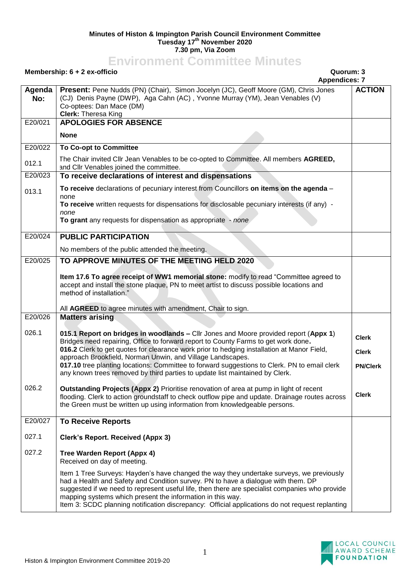## **Minutes of Histon & Impington Parish Council Environment Committee Tuesday 17 th November 2020 7.30 pm, Via Zoom**

## **Environment Committee Minutes**

|               | Quorum: 3<br>Membership: 6 + 2 ex-officio<br><b>Appendices: 7</b>                                                                                                                                                                                                                                                                                                                                                                                |                              |
|---------------|--------------------------------------------------------------------------------------------------------------------------------------------------------------------------------------------------------------------------------------------------------------------------------------------------------------------------------------------------------------------------------------------------------------------------------------------------|------------------------------|
| Agenda<br>No: | Present: Pene Nudds (PN) (Chair), Simon Jocelyn (JC), Geoff Moore (GM), Chris Jones<br>(CJ) Denis Payne (DWP), Aga Cahn (AC), Yvonne Murray (YM), Jean Venables (V)<br>Co-optees: Dan Mace (DM)<br>Clerk: Theresa King                                                                                                                                                                                                                           | <b>ACTION</b>                |
| E20/021       | <b>APOLOGIES FOR ABSENCE</b>                                                                                                                                                                                                                                                                                                                                                                                                                     |                              |
|               | <b>None</b>                                                                                                                                                                                                                                                                                                                                                                                                                                      |                              |
| E20/022       | <b>To Co-opt to Committee</b>                                                                                                                                                                                                                                                                                                                                                                                                                    |                              |
| 012.1         | The Chair invited Cllr Jean Venables to be co-opted to Committee. All members AGREED,<br>and Cllr Venables joined the committee.                                                                                                                                                                                                                                                                                                                 |                              |
| E20/023       | To receive declarations of interest and dispensations                                                                                                                                                                                                                                                                                                                                                                                            |                              |
| 013.1         | To receive declarations of pecuniary interest from Councillors on items on the agenda -<br>none                                                                                                                                                                                                                                                                                                                                                  |                              |
|               | To receive written requests for dispensations for disclosable pecuniary interests (if any) -<br>none                                                                                                                                                                                                                                                                                                                                             |                              |
|               | To grant any requests for dispensation as appropriate - none                                                                                                                                                                                                                                                                                                                                                                                     |                              |
| E20/024       | <b>PUBLIC PARTICIPATION</b>                                                                                                                                                                                                                                                                                                                                                                                                                      |                              |
|               | No members of the public attended the meeting.                                                                                                                                                                                                                                                                                                                                                                                                   |                              |
| E20/025       | TO APPROVE MINUTES OF THE MEETING HELD 2020                                                                                                                                                                                                                                                                                                                                                                                                      |                              |
|               | Item 17.6 To agree receipt of WW1 memorial stone: modify to read "Committee agreed to<br>accept and install the stone plaque, PN to meet artist to discuss possible locations and<br>method of installation."                                                                                                                                                                                                                                    |                              |
|               | All AGREED to agree minutes with amendment, Chair to sign.                                                                                                                                                                                                                                                                                                                                                                                       |                              |
| E20/026       | <b>Matters arising</b>                                                                                                                                                                                                                                                                                                                                                                                                                           |                              |
| 026.1         | 015.1 Report on bridges in woodlands - Cllr Jones and Moore provided report (Appx 1)<br>Bridges need repairing, Office to forward report to County Farms to get work done.<br>016.2 Clerk to get quotes for clearance work prior to hedging installation at Manor Field,                                                                                                                                                                         | <b>Clerk</b><br><b>Clerk</b> |
|               | approach Brookfield, Norman Unwin, and Village Landscapes.<br>017.10 tree planting locations: Committee to forward suggestions to Clerk. PN to email clerk<br>any known trees removed by third parties to update list maintained by Clerk.                                                                                                                                                                                                       | <b>PN/Clerk</b>              |
| 026.2         | <b>Outstanding Projects (Appx 2)</b> Prioritise renovation of area at pump in light of recent<br>flooding. Clerk to action groundstaff to check outflow pipe and update. Drainage routes across<br>the Green must be written up using information from knowledgeable persons.                                                                                                                                                                    | <b>Clerk</b>                 |
| E20/027       | <b>To Receive Reports</b>                                                                                                                                                                                                                                                                                                                                                                                                                        |                              |
| 027.1         | <b>Clerk's Report. Received (Appx 3)</b>                                                                                                                                                                                                                                                                                                                                                                                                         |                              |
| 027.2         | Tree Warden Report (Appx 4)<br>Received on day of meeting.                                                                                                                                                                                                                                                                                                                                                                                       |                              |
|               | Item 1 Tree Surveys: Hayden's have changed the way they undertake surveys, we previously<br>had a Health and Safety and Condition survey. PN to have a dialogue with them. DP<br>suggested if we need to represent useful life, then there are specialist companies who provide<br>mapping systems which present the information in this way.<br>Item 3: SCDC planning notification discrepancy: Official applications do not request replanting |                              |

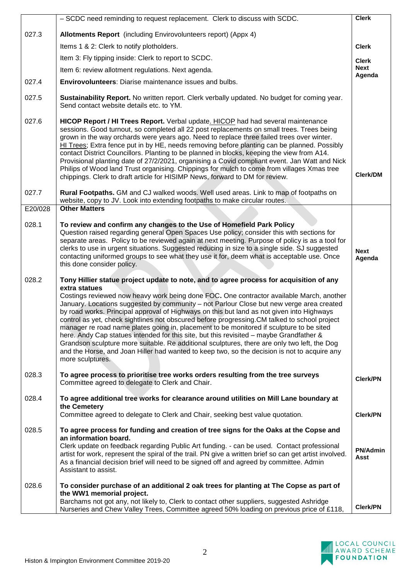|         | - SCDC need reminding to request replacement. Clerk to discuss with SCDC.                                                                                                                                                                                                                                                                                                                                                                                                                                                                                                                                                                                                                                                                                                                                                                                                                                | <b>Clerk</b>                   |
|---------|----------------------------------------------------------------------------------------------------------------------------------------------------------------------------------------------------------------------------------------------------------------------------------------------------------------------------------------------------------------------------------------------------------------------------------------------------------------------------------------------------------------------------------------------------------------------------------------------------------------------------------------------------------------------------------------------------------------------------------------------------------------------------------------------------------------------------------------------------------------------------------------------------------|--------------------------------|
| 027.3   | Allotments Report (including Envirovolunteers report) (Appx 4)                                                                                                                                                                                                                                                                                                                                                                                                                                                                                                                                                                                                                                                                                                                                                                                                                                           |                                |
|         | Items 1 & 2: Clerk to notify plotholders.                                                                                                                                                                                                                                                                                                                                                                                                                                                                                                                                                                                                                                                                                                                                                                                                                                                                | <b>Clerk</b>                   |
|         | Item 3: Fly tipping inside: Clerk to report to SCDC.                                                                                                                                                                                                                                                                                                                                                                                                                                                                                                                                                                                                                                                                                                                                                                                                                                                     | <b>Clerk</b>                   |
|         | Item 6: review allotment regulations. Next agenda.                                                                                                                                                                                                                                                                                                                                                                                                                                                                                                                                                                                                                                                                                                                                                                                                                                                       | <b>Next</b>                    |
| 027.4   | <b>Envirovolunteers:</b> Diarise maintenance issues and bulbs.                                                                                                                                                                                                                                                                                                                                                                                                                                                                                                                                                                                                                                                                                                                                                                                                                                           | Agenda                         |
| 027.5   | Sustainability Report. No written report. Clerk verbally updated. No budget for coming year.<br>Send contact website details etc. to YM.                                                                                                                                                                                                                                                                                                                                                                                                                                                                                                                                                                                                                                                                                                                                                                 |                                |
| 027.6   | HICOP Report / HI Trees Report. Verbal update. HICOP had had several maintenance<br>sessions. Good turnout, so completed all 22 post replacements on small trees. Trees being<br>grown in the way orchards were years ago. Need to replace three failed trees over winter.<br>HI Trees; Extra fence put in by HE, needs removing before planting can be planned. Possibly<br>contact District Councillors. Planting to be planned in blocks, keeping the view from A14.<br>Provisional planting date of 27/2/2021, organising a Covid compliant event. Jan Watt and Nick<br>Philips of Wood land Trust organising. Chippings for mulch to come from villages Xmas tree<br>chippings. Clerk to draft article for HISIMP News, forward to DM for review.                                                                                                                                                   | Clerk/DM                       |
| 027.7   | Rural Footpaths. GM and CJ walked woods. Well used areas. Link to map of footpaths on<br>website, copy to JV. Look into extending footpaths to make circular routes.                                                                                                                                                                                                                                                                                                                                                                                                                                                                                                                                                                                                                                                                                                                                     |                                |
| E20/028 | <b>Other Matters</b>                                                                                                                                                                                                                                                                                                                                                                                                                                                                                                                                                                                                                                                                                                                                                                                                                                                                                     |                                |
| 028.1   | To review and confirm any changes to the Use of Homefield Park Policy<br>Question raised regarding general Open Spaces Use policy; consider this with sections for<br>separate areas. Policy to be reviewed again at next meeting. Purpose of policy is as a tool for<br>clerks to use in urgent situations. Suggested reducing in size to a single side. SJ suggested<br>contacting uniformed groups to see what they use it for, deem what is acceptable use. Once<br>this done consider policy.                                                                                                                                                                                                                                                                                                                                                                                                       | <b>Next</b><br>Agenda          |
| 028.2   | Tony Hillier statue project update to note, and to agree process for acquisition of any<br>extra statues<br>Costings reviewed now heavy work being done FOC. One contractor available March, another<br>January. Locations suggested by community - not Parlour Close but new verge area created<br>by road works. Principal approval of Highways on this but land as not given into Highways<br>control as yet, check sightlines not obscured before progressing.CM talked to school project<br>manager re road name plates going in, placement to be monitored if sculpture to be sited<br>here. Andy Cap statues intended for this site, but this revisited – maybe Grandfather &<br>Grandson sculpture more suitable. Re additional sculptures, there are only two left, the Dog<br>and the Horse, and Joan Hiller had wanted to keep two, so the decision is not to acquire any<br>more sculptures. |                                |
| 028.3   | To agree process to prioritise tree works orders resulting from the tree surveys<br>Committee agreed to delegate to Clerk and Chair.                                                                                                                                                                                                                                                                                                                                                                                                                                                                                                                                                                                                                                                                                                                                                                     | <b>Clerk/PN</b>                |
| 028.4   | To agree additional tree works for clearance around utilities on Mill Lane boundary at<br>the Cemetery<br>Committee agreed to delegate to Clerk and Chair, seeking best value quotation.                                                                                                                                                                                                                                                                                                                                                                                                                                                                                                                                                                                                                                                                                                                 | <b>Clerk/PN</b>                |
| 028.5   | To agree process for funding and creation of tree signs for the Oaks at the Copse and<br>an information board.<br>Clerk update on feedback regarding Public Art funding. - can be used. Contact professional<br>artist for work, represent the spiral of the trail. PN give a written brief so can get artist involved.<br>As a financial decision brief will need to be signed off and agreed by committee. Admin<br>Assistant to assist.                                                                                                                                                                                                                                                                                                                                                                                                                                                               | <b>PN/Admin</b><br><b>Asst</b> |
| 028.6   | To consider purchase of an additional 2 oak trees for planting at The Copse as part of<br>the WW1 memorial project.<br>Barchams not got any, not likely to, Clerk to contact other suppliers, suggested Ashridge<br>Nurseries and Chew Valley Trees, Committee agreed 50% loading on previous price of £118,                                                                                                                                                                                                                                                                                                                                                                                                                                                                                                                                                                                             | <b>Clerk/PN</b>                |

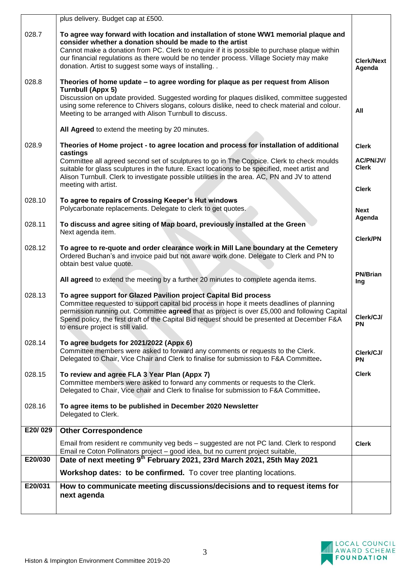|         | plus delivery. Budget cap at £500.                                                                                                                                                                                                                                                                                                                                                                  |                             |
|---------|-----------------------------------------------------------------------------------------------------------------------------------------------------------------------------------------------------------------------------------------------------------------------------------------------------------------------------------------------------------------------------------------------------|-----------------------------|
| 028.7   | To agree way forward with location and installation of stone WW1 memorial plaque and<br>consider whether a donation should be made to the artist                                                                                                                                                                                                                                                    |                             |
|         | Cannot make a donation from PC. Clerk to enquire if it is possible to purchase plaque within<br>our financial regulations as there would be no tender process. Village Society may make<br>donation. Artist to suggest some ways of installing. .                                                                                                                                                   | <b>Clerk/Next</b><br>Agenda |
| 028.8   | Theories of home update - to agree wording for plaque as per request from Alison<br><b>Turnbull (Appx 5)</b><br>Discussion on update provided. Suggested wording for plaques disliked, committee suggested                                                                                                                                                                                          |                             |
|         | using some reference to Chivers slogans, colours dislike, need to check material and colour.<br>Meeting to be arranged with Alison Turnbull to discuss.                                                                                                                                                                                                                                             | All                         |
|         | All Agreed to extend the meeting by 20 minutes.                                                                                                                                                                                                                                                                                                                                                     |                             |
| 028.9   | Theories of Home project - to agree location and process for installation of additional<br>castings                                                                                                                                                                                                                                                                                                 | <b>Clerk</b>                |
|         | Committee all agreed second set of sculptures to go in The Coppice. Clerk to check moulds<br>suitable for glass sculptures in the future. Exact locations to be specified, meet artist and<br>Alison Turnbull. Clerk to investigate possible utilities in the area. AC, PN and JV to attend                                                                                                         | AC/PN/JV/<br><b>Clerk</b>   |
|         | meeting with artist.                                                                                                                                                                                                                                                                                                                                                                                | <b>Clerk</b>                |
| 028.10  | To agree to repairs of Crossing Keeper's Hut windows<br>Polycarbonate replacements. Delegate to clerk to get quotes.                                                                                                                                                                                                                                                                                | <b>Next</b>                 |
| 028.11  | To discuss and agree siting of Map board, previously installed at the Green<br>Next agenda item.                                                                                                                                                                                                                                                                                                    | Agenda                      |
| 028.12  | To agree to re-quote and order clearance work in Mill Lane boundary at the Cemetery                                                                                                                                                                                                                                                                                                                 | <b>Clerk/PN</b>             |
|         | Ordered Buchan's and invoice paid but not aware work done. Delegate to Clerk and PN to<br>obtain best value quote.                                                                                                                                                                                                                                                                                  |                             |
|         | All agreed to extend the meeting by a further 20 minutes to complete agenda items.                                                                                                                                                                                                                                                                                                                  | <b>PN/Brian</b><br>Ing      |
| 028.13  | To agree support for Glazed Pavilion project Capital Bid process<br>Committee requested to support capital bid process in hope it meets deadlines of planning<br>permission running out. Committee agreed that as project is over £5,000 and following Capital<br>Spend policy, the first draft of the Capital Bid request should be presented at December F&A<br>to ensure project is still valid. | Clerk/CJ/<br><b>PN</b>      |
| 028.14  | To agree budgets for 2021/2022 (Appx 6)                                                                                                                                                                                                                                                                                                                                                             |                             |
|         | Committee members were asked to forward any comments or requests to the Clerk.<br>Delegated to Chair, Vice Chair and Clerk to finalise for submission to F&A Committee.                                                                                                                                                                                                                             | Clerk/CJ/<br><b>PN</b>      |
| 028.15  | To review and agree FLA 3 Year Plan (Appx 7)<br>Committee members were asked to forward any comments or requests to the Clerk.<br>Delegated to Chair, Vice chair and Clerk to finalise for submission to F&A Committee.                                                                                                                                                                             | <b>Clerk</b>                |
| 028.16  | To agree items to be published in December 2020 Newsletter<br>Delegated to Clerk.                                                                                                                                                                                                                                                                                                                   |                             |
| E20/029 | <b>Other Correspondence</b>                                                                                                                                                                                                                                                                                                                                                                         |                             |
|         | Email from resident re community veg beds - suggested are not PC land. Clerk to respond<br>Email re Coton Pollinators project - good idea, but no current project suitable,                                                                                                                                                                                                                         | <b>Clerk</b>                |
| E20/030 | Date of next meeting 9th February 2021, 23rd March 2021, 25th May 2021<br>Workshop dates: to be confirmed. To cover tree planting locations.                                                                                                                                                                                                                                                        |                             |
| E20/031 |                                                                                                                                                                                                                                                                                                                                                                                                     |                             |
|         | How to communicate meeting discussions/decisions and to request items for<br>next agenda                                                                                                                                                                                                                                                                                                            |                             |
|         |                                                                                                                                                                                                                                                                                                                                                                                                     |                             |